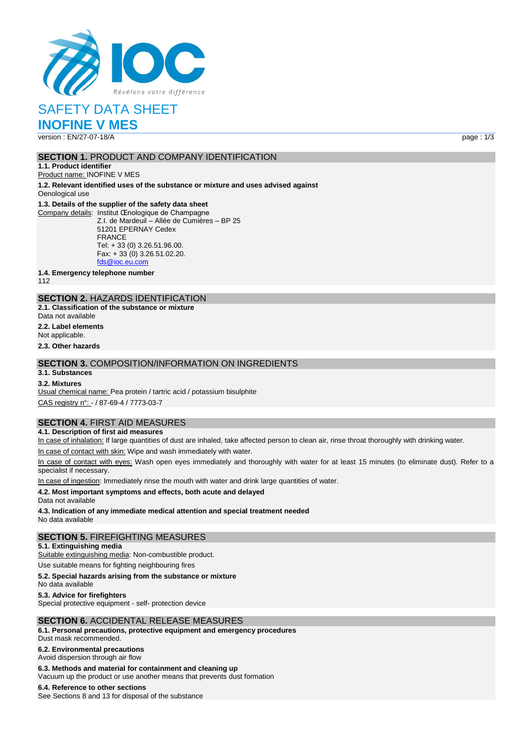

SAFETY DATA SHEET

**INOFINE V MES** version : EN/27-07-18/A page : 1/3

#### **SECTION 1. PRODUCT AND COMPANY IDENTIFICATION**

**1.1. Product identifier** Product name: INOFINE V MES

**1.2. Relevant identified uses of the substance or mixture and uses advised against** Oenological use

#### **1.3. Details of the supplier of the safety data sheet**

Company details: Institut Œnologique de Champagne Z.I. de Mardeuil – Allée de Cumières – BP 25 51201 EPERNAY Cedex FRANCE Tel: + 33 (0) 3.26.51.96.00. Fax: + 33 (0) 3.26.51.02.20. [fds@ioc.eu.com](mailto:fds@ioc.eu.com)

**1.4. Emergency telephone number**

112

## **SECTION 2.** HAZARDS IDENTIFICATION

**2.1. Classification of the substance or mixture** Data not available

**2.2. Label elements**

Not applicable.

**2.3. Other hazards**

## **SECTION 3.** COMPOSITION/INFORMATION ON INGREDIENTS

## **3.1. Substances**

**3.2. Mixtures**

Usual chemical name: Pea protein / tartric acid / potassium bisulphite CAS registry n°: - / 87-69-4 / 7773-03-7

#### **SECTION 4.** FIRST AID MEASURES

**4.1. Description of first aid measures**

In case of inhalation: If large quantities of dust are inhaled, take affected person to clean air, rinse throat thoroughly with drinking water.

In case of contact with skin: Wipe and wash immediately with water.

In case of contact with eyes: Wash open eyes immediately and thoroughly with water for at least 15 minutes (to eliminate dust). Refer to a specialist if necessary.

In case of ingestion: Immediately rinse the mouth with water and drink large quantities of water.

#### **4.2. Most important symptoms and effects, both acute and delayed**

Data not available

**4.3. Indication of any immediate medical attention and special treatment needed** No data available

#### **SECTION 5.** FIREFIGHTING MEASURES

**5.1. Extinguishing media**

Suitable extinguishing media: Non-combustible product.

Use suitable means for fighting neighbouring fires

**5.2. Special hazards arising from the substance or mixture**

No data available

**5.3. Advice for firefighters**

Special protective equipment - self- protection device

#### **SECTION 6.** ACCIDENTAL RELEASE MEASURES

**6.1. Personal precautions, protective equipment and emergency procedures**

Dust mask recommended.

**6.2. Environmental precautions**

Avoid dispersion through air flow

**6.3. Methods and material for containment and cleaning up**

Vacuum up the product or use another means that prevents dust formation

**6.4. Reference to other sections** See Sections 8 and 13 for disposal of the substance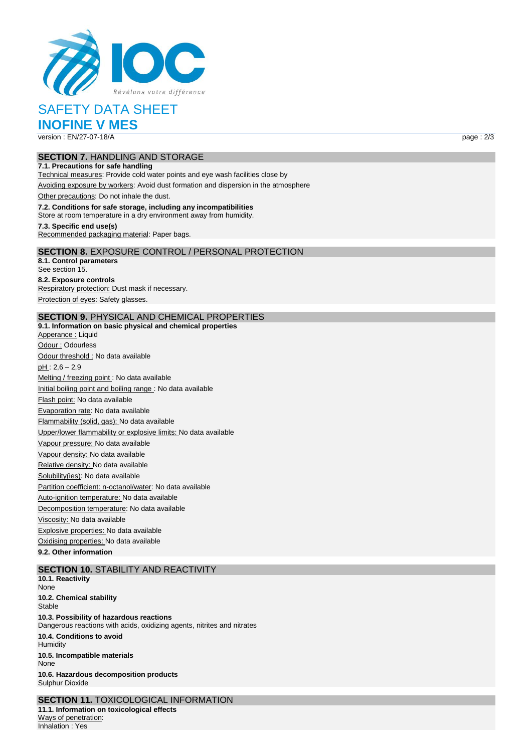

# SAFETY DATA SHEET

**INOFINE V MES** version : EN/27-07-18/A page : 2/3

#### **SECTION 7.** HANDLING AND STORAGE **7.1. Precautions for safe handling**

Technical measures: Provide cold water points and eye wash facilities close by

## Avoiding exposure by workers: Avoid dust formation and dispersion in the atmosphere

Other precautions: Do not inhale the dust.

#### **7.2. Conditions for safe storage, including any incompatibilities**

Store at room temperature in a dry environment away from humidity.

#### **7.3. Specific end use(s)** Recommended packaging material: Paper bags.

**SECTION 8.** EXPOSURE CONTROL / PERSONAL PROTECTION

#### **8.1. Control parameters**

See section 15. **8.2. Exposure controls** Respiratory protection: Dust mask if necessary. Protection of eyes: Safety glasses.

## **SECTION 9.** PHYSICAL AND CHEMICAL PROPERTIES

**9.1. Information on basic physical and chemical properties** Apperance : Liquid Odour : Odourless Odour threshold : No data available  $pH: 2,6 - 2,9$ Melting / freezing point : No data available Initial boiling point and boiling range : No data available Flash point: No data available Evaporation rate: No data available Flammability (solid, gas): No data available Upper/lower flammability or explosive limits: No data available Vapour pressure: No data available Vapour density: No data available Relative density: No data available Solubility(ies): No data available Partition coefficient: n-octanol/water: No data available Auto-ignition temperature: No data available Decomposition temperature: No data available Viscosity: No data available Explosive properties: No data available Oxidising properties: No data available

**9.2. Other information**

#### **SECTION 10.** STABILITY AND REACTIVITY

**10.1. Reactivity** None **10.2. Chemical stability Stable 10.3. Possibility of hazardous reactions** Dangerous reactions with acids, oxidizing agents, nitrites and nitrates **10.4. Conditions to avoid** Humidity **10.5. Incompatible materials** None **10.6. Hazardous decomposition products** Sulphur Dioxide

**SECTION 11.** TOXICOLOGICAL INFORMATION **11.1. Information on toxicological effects** Ways of penetration: Inhalation : Yes